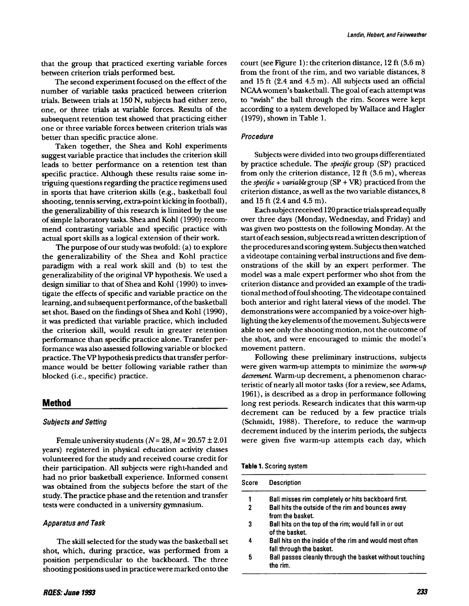that the group that practiced exerting variable forces between criterion trials performed best.

The second experiment focused on the effect of the number of variable tasks practiced between criterion trials. Between trials at 150 N, subjects had either zero, one, or three trials at variable forces. Results of the subsequent retention test showed that practicing either one or three variable forces between criterion trials was better than specific practice alone.

Taken together, the Shea and Kohl experiments suggest variable practice that includes the criterion skill leads to better performance on a retention test than specific practice. Although these results raise some intriguing questions regarding the practice regimens used in sports that have criterion skills (e.g., basketball foul shooting, tennis serving, extra-point kicking in football), the generalizability of this research is limited by the use of simple laboratory tasks. Shea and Kohl (1990) recommend contrasting variable and specific practice with actual sport skills as a logical extension of their work.

The purpose of our study was twofold: (a) to explore the generalizability of the Shea and Kohl practice paradigm with a real work skill and (b) to test the generalizability of the original VP hypothesis. We used a design similiar to that of Shea and Kohl (1990) to investigate the effects of specific and variable practice on the learning, and subsequent performance, of the basketball set shot. Based on the findings of Shea and Kohl (1990), it was predicted that variable practice, which included the criterion skill, would result in greater retention performance than specific practice alone. Transfer performance was also assessed following variable or blocked practice. The VP hypothesis predicts that transfer performance would be better following variable rather than blocked (i.e., specific) practice.

# **Method**

# **Subjects and Setting**

Female university students ( $N=28$ ,  $M=20.57\pm2.01$ years) registered in physical education activity classes volunteered for the study and received course credit for their participation. All subjects were right-handed and had no prior basketball experience. Informed consent was obtained from the subjects before the start of the study. The practice phase and the retention and transfer tests were conducted in a university gymnasium.

# **Apparatus and Task**

The skill selected for the studywas the basketball set shot, which, during practice, was performed from a position perpendicular to the backboard. The three shooting positions used in practicewere marked onto the court (see Figure 1): the criterion distance, 12 ft (3.6 m) from the front of the rim, and two variable distances, 8 and 15 ft (2.4 and 4.5 m). All subjects used an official NCAA women's basketball. The goal of each attempt was to "swish" the ball through the rim. Scores were kept according to a system developed by Wallace and Hagler (1979), shown in Table 1.

#### Procedure

Subjects were divided into two groups differentiated by practice schedule. The *specific* group (SP) practiced from only the criterion distance, 12 ft (3.6 m), whereas the *specific* + *variable* group (SP +VR) practiced from the criterion distance, as well as the two variable distances, 8 and 15 ft (2.4 and 4.5 m).

Each subjectreceived 120practice trialsspreadequally over three days (Monday, Wednesday, and Friday) and was given two posttests on the following Monday. At the start of each session, subjects read a written description of the procedures and scoring system. Subjects then watched a videotape containing verbal instructions and five demonstrations of the skill by an expert performer. The model was a male expert performer who shot from the criterion distance and provided an example of the traditional method offoulshooting. The videotape contained both anterior and right lateral views of the model. The demonstrations were accompanied by a voice-over highlighting the keyelementsofthe movement. Subjectswere able to see only the shooting motion, not the outcome of the shot, and were encouraged to mimic the model's movement pattern.

Following these preliminary instructions, subjects were given warm-up attempts to minimize the *warm-up decrement.* Warm-up decrement, a phenomenon characteristic of nearly all motor tasks (for a review, see Adams, 1961), is described as a drop in performance following long rest periods. Research indicates that this warm-up decrement can be reduced by a few practice trials (Schmidt, 1988). Therefore, to reduce the warm-up decrement induced by the interim periods, the subjects were given five warm-up attempts each day, which

Table 1. Scoring system

| Score        | <b>Description</b>                                                                  |  |  |  |
|--------------|-------------------------------------------------------------------------------------|--|--|--|
|              | Ball misses rim completely or hits backboard first.                                 |  |  |  |
| $\mathbf{c}$ | Ball hits the outside of the rim and bounces away<br>from the basket.               |  |  |  |
| 3            | Ball hits on the top of the rim; would fall in or out<br>of the basket.             |  |  |  |
| 4            | Ball hits on the inside of the rim and would most often<br>fall through the basket. |  |  |  |
| 5            | Ball passes cleanly through the basket without touching<br>the rim                  |  |  |  |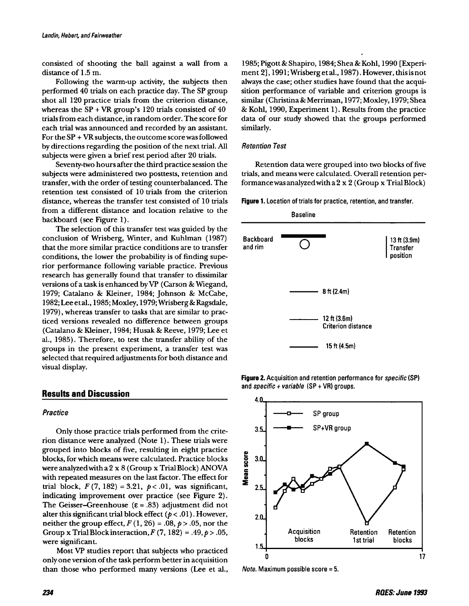consisted of shooting the ball against a wall from a distance of 1.5 m.

Following the warm-up activity, the subjects then performed 40 trials on each practice day. The SP group shot all 120 practice trials from the criterion distance, whereas the  $SP + VR$  group's 120 trials consisted of 40 trialsfrom each distance, in random order. The score for each trial was announced and recorded by an assistant. For the  $SP + VR$  subjects, the outcome score was followed by directions regarding the position of the next trial. All subjects were given a brief rest period after 20 trials.

Seventy-two hours after the third practice session the subjects were administered two posttests, retention and transfer, with the order of testing counterbalanced. The retention test consisted of 10 trials from the criterion distance, whereas the transfer test consisted of 10 trials from a different distance and location relative to the backboard (see Figure 1).

The selection of this transfer test was guided by the conclusion of Wrisberg, Winter, and Kuhlman (1987) that the more similar practice conditions are to transfer conditions, the lower the probability is of finding superior performance following variable practice. Previous research has generally found that transfer to dissimilar versions of a task is enhanced by VP (Carson & Wiegand, 1979; Catalano & Kleiner, 1984; Johnson & McCabe, 1982; Lee etal., 1985; Moxley, 1979; Wrisberg& Ragsdale, 1979), whereas transfer to tasks that are similar to practiced versions revealed no difference between groups (Catalano & Kleiner, 1984; Husak & Reeve, 1979; Lee et al., 1985). Therefore, to test the transfer ability of the groups in the present experiment, a transfer test was selected that required adjustments for both distance and visual display.

## **Results and Discussion**

Only those practice trials performed from the criterion distance were analyzed (Note 1). These trials were grouped into blocks of five, resulting in eight practice blocks, for which means were calculated. Practice blocks were analyzedwith a2 x 8 (Group x TrialBlock) ANOVA with repeated measures on the last factor. The effect for trial block,  $F(7, 182) = 3.21$ ,  $p < .01$ , was significant, indicating improvement over practice (see Figure 2). The Geisser-Greenhouse ( $\epsilon$  = .83) adjustment did not alter this significant trial block effect ( $p < .01$ ). However, neither the group effect,  $F(1, 26) = .08$ ,  $p > .05$ , nor the Group x Trial Block interaction,  $F(7, 182) = .49, p > .05,$ were significant.

Most VP studies report that subjects who practiced only one version of the task perform better in acquisition than those who performed many versions (Lee et al., 1985; Pigott &Shapiro, 1984; Shea & Kohl, 1990 [Experiment 2], 1991; Wrisbergetal., 1987). However, thisis not always the case; other studies have found that the acquisition performance of variable and criterion groups is similar (Christina& Merriman, 1977; Moxley, 1979; Shea & Kohl, 1990, Experiment 1). Results from the practice data of our study showed that the groups performed similarly.

#### *Retention Test*

Retention data were grouped into two blocks of five trials, and means were calculated. Overall retention performancewasanalyzedwitha2 x 2 (Group x TrialBlock)

Figure 1. Location of trials for practice, retention, and transfer.



**Figure 2.** Acquisition and retention performance for *specific* (SP) and specific + variable (SP + VR) groups.



Note. Maximum possible score =5.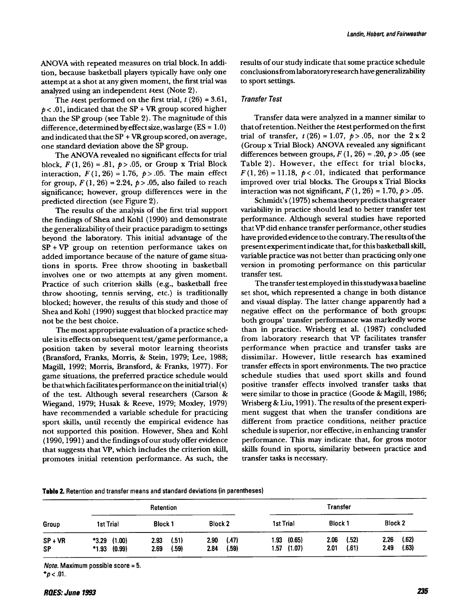ANOVA with repeated measures on trial block. In addition, because basketball players typically have only one attempt at a shot at any given moment, the first trial was analyzed using an independent t-test (Note 2).

The *t*-test performed on the first trial,  $t(26) = 3.61$ ,  $p < .01$ , indicated that the SP + VR group scored higher than the SP group (see Table 2). The magnitude of this difference, determined by effect size, was large ( $ES = 1.0$ ) and indicated that the SP + VRgroup scored, on average, one standard deviation above the SP group.

The ANOVA revealed no significant effects for trial block,  $F(1, 26) = .81$ ,  $p > .05$ , or Group x Trial Block interaction,  $F(1, 26) = 1.76$ ,  $p > .05$ . The main effect for group,  $F(1, 26) = 2.24$ ,  $p > .05$ , also failed to reach significance; however, group differences were in the predicted direction (see Figure 2).

The results of the analysis of the first trial support the findings of Shea and Kohl (1990) and demonstrate the generalizability of their practice paradigm to settings beyond the laboratory. This initial advantage of the SP + VP group on retention performance takes on added importance because of the nature of game situations in sports. Free throw shooting in basketball involves one or two attempts at any given moment. Practice of such criterion skills (e.g., basketball free throw shooting, tennis serving, etc.) is traditionally blocked; however, the results of this study and those of Shea and Kohl (1990) suggest that blocked practice may not be the best choice.

The most appropriate evaluation of a practice schedule is its effects on subsequent test/game performance, a position taken by several motor learning theorists (Bransford, Franks, Morris, & Stein, 1979; Lee, 1988; Magill, 1992; Morris, Bransford, & Franks, 1977). For game situations, the preferred practice schedule would be thatwhich facilitates performance on the initial trial(s) of the test. Although several researchers (Carson & Wiegand, 1979; Husak & Reeve, 1979; Moxley, 1979) have recommended a variable schedule for practicing sport skills, until recently the empirical evidence has not supported this position. However, Shea and Kohl  $(1990, 1991)$  and the findings of our study offer evidence that suggests that VP, which includes the criterion skill, promotes initial retention performance. As such, the results of our study indicate that some practice schedule conclusionsfrom laboratoryresearch have generalizability to sport settings.

#### Transfer Test

Transfer data were analyzed in a manner similar to thatofretention. Neither the t-test performed on the first trial of transfer,  $t(26) = 1.07$ ,  $p > .05$ , nor the  $2 \times 2$ (Group x Trial Block) ANOVA revealed any significant differences between groups,  $F(1, 26) = .20$ ,  $p > .05$  (see Table 2). However, the effect for trial blocks,  $F(1, 26) = 11.18$ ,  $p < .01$ , indicated that performance improved over trial blocks. The Groups x Trial Blocks interaction was not significant,  $F(1, 26) = 1.70$ ,  $p > .05$ .

Schmidt's (1975) schema theory predicts that greater variability in practice should lead to better transfer test performance. Although several studies have reported that VP did enhance transfer performance, other studies have provided evidence to the contrary. The results of the present experiment indicate that, for this basketball skill, variable practice was not better than practicing only one version in promoting performance on this particular transfer test.

The transfer test employed in this study was a baseline set shot, which represented a change in both distance and visual display. The latter change apparently had a negative effect on the performance of both groups: both groups' transfer performance was markedly worse than in practice. Wrisberg et al. (1987) concluded from laboratory research that VP facilitates transfer performance when practice and transfer tasks are dissimilar. However, little research has examined transfer effects in sport environments. The two practice schedule studies that used sport skills and found positive transfer effects involved transfer tasks that were similar to those in practice (Goode & Magill, 1986; Wrisberg & Liu, 1991). The results of the present experiment suggest that when the transfer conditions are different from practice conditions, neither practice schedule issuperior, nor effective, in enhancing transfer performance. This may indicate that, for gross motor skills found in sports, similarity between practice and transfer tasks is necessary.

| Table 2. Retention and transfer means and standard deviations (in parentheses) |  |  |
|--------------------------------------------------------------------------------|--|--|
|--------------------------------------------------------------------------------|--|--|

| Group     | Retention        |                |               | <b>Transfer</b> |                |                |  |
|-----------|------------------|----------------|---------------|-----------------|----------------|----------------|--|
|           | <b>1st Trial</b> | <b>Block 1</b> | Block 2       | 1st Trial       | <b>Block 1</b> | <b>Block 2</b> |  |
| $SP + VR$ | *3.29 (1.00)     | (.51)<br>2.93  | (.47)<br>2.90 | $1.93$ $(0.65)$ | (.52)<br>2.06  | (.62)<br>2.26  |  |
| <b>SP</b> | $*1.93$ (0.99)   | (.59)<br>2.69  | (.59)<br>2.84 | $1.57$ (1.07)   | (.61)<br>2.01  | (.63)<br>2.49  |  |

Note. Maximum possible score  $=5$ . *"p «* .01.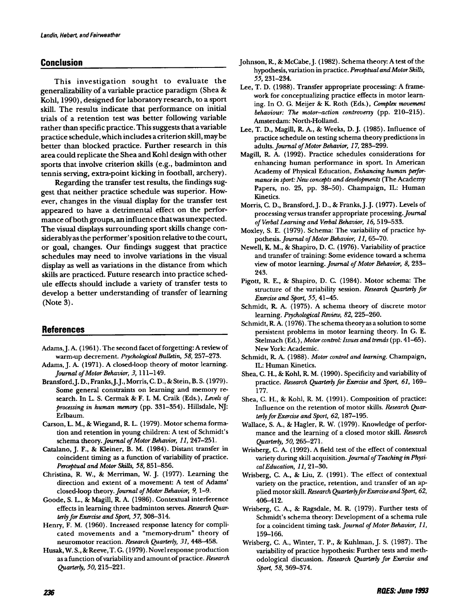# **Conclusion**

This investigation sought to evaluate the generalizability of a variable practice paradigm (Shea & Kohl, 1990), designed for laboratory research, to a sport skill. The results indicate that performance on initial trials of a retention test was better following variable rather than specific practice. Thissuggests that a variable practice schedule, which includes a criterion skill, may be better than blocked practice. Further research in this area could replicate the Shea and Kohl design with other sports that involve criterion skills (e.g., badminton and tennis serving, extra-point kicking in football, archery).

Regarding the transfer test results, the findings suggest that neither practice schedule was superior. However, changes in the visual display for the transfer test appeared to have a detrimental effect on the performance ofboth groups, an influence thatwas unexpected. The visual displays surrounding sport skills change considerablyasthe performer's position relative to the court, or goal, changes. Our findings suggest that practice schedules may need to involve variations in the visual display as well as variations in the distance from which skills are practiced. Future research into practice schedule effects should include a variety of transfer tests to develop a better understanding of transfer of learning (Note 3).

## **References**

- Adams, J. A. (1961). The second facet of forgetting: A review of warm-up decrement. *Psychological* Bulletin, 58, 257-273.
- Adams,]. A. (1971). A closed-loop theory of motor learning. *Journal of Motor Behavior, 3,* 111-149.
- Bransford.]. D., Franks,].]., Morris, C. D., & Stein, B.S. (1979). Some general constraints on learning and memory research. In L. S. Cermak & F. I. M. Craik (Eds.), *Levels of processing* in *human memory* (pp. 331-354). Hillsdale, NJ: Erlbaum.
- Carson, L. M., & Wiegand, R L. (1979). Motor schema formation and retention in young children: A test of Schmidt's schema theory. *Journal of Motor Behavior*, 11, 247-251.
- Catalano,]. F., & Kleiner, B. M. (1984). Distant transfer in coincident timing as a function of variability of practice. *Perceptual and MoturSkiUs,* 58, 851-856.
- Christina, R W., & Merriman, W.]. (1977). Learning the direction and extent of a movement: A test of Adams' closed-loop theory. *Journal of Motor Behavior*, 9, 1-9.
- Goode, S. L., & Magill, R A. (1986). Contextual interference effects in learning three badminton serves. *Research Quarterly fur Exercise and Spurt,* 57, 308-314.
- Henry, F. M. (1960). Increased response latency for complicated movements and a "memory-drum" theory of neuromotor reaction. *Research Quarterly,* 31,448-458.
- Husak,W. S., & Reeve, T. G. (1979). Novel response production as a function ofvariability and amount ofpractice. *Research Quarterly, 50, 215-221.*
- Johnson, R., & McCabe, J. (1982). Schema theory: A test of the hypothesis, variation in practice. *Perceptual and MotorSkiUs,* 55,231-234.
- Lee, T. D. (1988). Transfer appropriate processing: A framework for conceptualizing practice effects in motor learning. In O. G. Meijer & K. Roth (Eds.), *Complex movement behaviour: The motor-action controversy* (pp, 210-215). Amsterdam: North-Holland.
- Lee, T. D., Magill, R A., & Weeks, D.]. (1985). Influence of practice schedule on testing schema theory predictions in adults. *Journal of MotorBehauior,* 17, 283-299.
- Magill, R. A. (1992). Practice schedules considerations for enhancing human performance in sport. In American Academy of Physical Education, *Enhancing human perJurmance*in *spurt: Newconcepts and developments* (The Academy Papers, no. 25, pp. 38-50). Champaign, IL: Human Kinetics.
- Morris, C. D., Bransford,]. D., & Franks,].J. (1977). Levels of processing versus transfer appropriate processing. *Journal of Verbal Learning and Verbal Behavior,* 16,519-533.
- Moxley, S. E. (1979). Schema: The variability of practice hypothesis. *Journal of Motor Behavior*, 11, 65-70.
- Newell, K. M., & Shapiro, D. C. (1976). Variability of practice and transfer of training: Some evidence toward a schema view of motor learning. *Journal of Motor Behavior*, 8, 233-243.
- Pigott, R E., & Shapiro, D. C. (1984). Motor schema: The structure of the variability session. *Research Quarterly fur Exercise and Spurt,* 55, 41-45.
- Schmidt, R. A. (1975). A schema theory of discrete motor learning. *Psychological Review,* 82, 225-260.
- Schmidt, R. A. (1976). The schema theory as a solution to some persistent problems in motor learning theory. In G. E. Stelmach (Ed.), *Motorcontrol: Issues and trends*(pp. 41-65). New York: Academic.
- Schmidt, R. A. (1988). *Motor control and learning*. Champaign, IL: Human Kinetics.
- Shea, C. H., & Kohl, R M. (1990). Specificity and variability of practice. *Research Quarterly fur Exercise and Spurt,* 61, 169- 177.
- Shea, C. H., & Kohl, R M. (1991). Composition of practice: Influence on the retention of motor skills. *Research QuarterlyfurExercise and Spurt,* 62, 187-195.
- Wallace, S. A., & Hagler, R W. (1979). Knowledge of performance and the learning of a closed motor skill. *Research Quarterly, 50, 265-271.*
- Wrisberg, C. A. (1992). A field test of the effect of contextual variety during skill acquisition. Journal of Teaching in Physi*calEducation,* 11,21-30.
- Wrisberg, C. A., & Liu, Z. (1991). The effect of contextual variety on the practice, retention, and transfer of an applied motorskill. *Research QuarterlyfurExercise and Spurt, 62,* 406-412.
- Wrisberg, C. A., & Ragsdale, M. R (1979). Further tests of Schmidt's schema theory: Development of a schema rule for a coincident timing task. *Journal of MotorBehavior, 11,* 159-166.
- Wrisberg, C. A., Winter, T. P., & Kuhlman,]. S. (1987). The variability of practice hypothesis: Further tests and methodological discussion. *Research Quarterly fur Exercise and Spurt,* 58, 369-374.